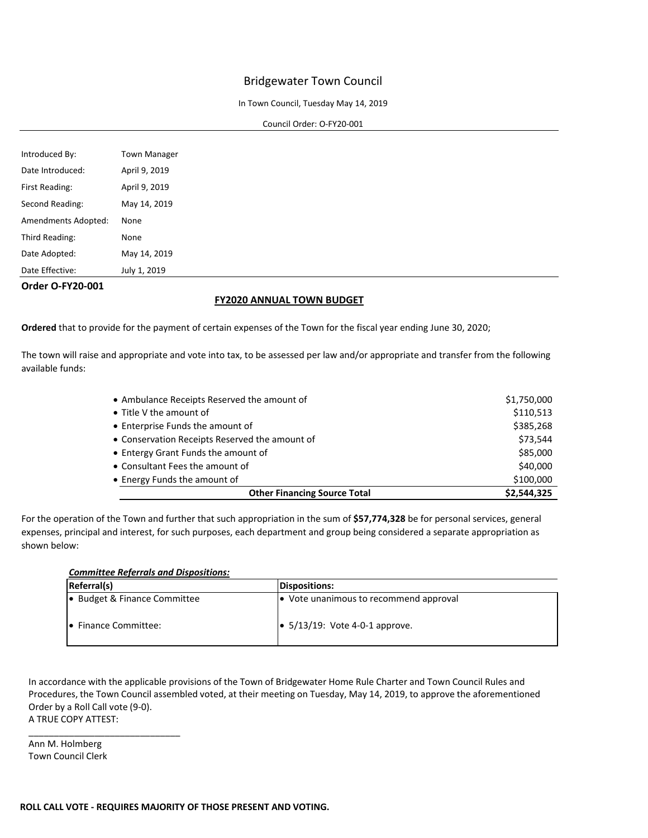#### In Town Council, Tuesday May 14, 2019

#### Council Order: O-FY20-001

| Introduced By:      | <b>Town Manager</b> |
|---------------------|---------------------|
| Date Introduced:    | April 9, 2019       |
| First Reading:      | April 9, 2019       |
| Second Reading:     | May 14, 2019        |
| Amendments Adopted: | None                |
| Third Reading:      | None                |
| Date Adopted:       | May 14, 2019        |
| Date Effective:     | July 1, 2019        |

**Order O-FY20-001**

#### **FY2020 ANNUAL TOWN BUDGET**

**Ordered** that to provide for the payment of certain expenses of the Town for the fiscal year ending June 30, 2020;

The town will raise and appropriate and vote into tax, to be assessed per law and/or appropriate and transfer from the following available funds:

| • Ambulance Receipts Reserved the amount of    | \$1,750,000 |
|------------------------------------------------|-------------|
| • Title V the amount of                        | \$110,513   |
| • Enterprise Funds the amount of               | \$385,268   |
| • Conservation Receipts Reserved the amount of | \$73,544    |
| • Entergy Grant Funds the amount of            | \$85,000    |
| • Consultant Fees the amount of                | \$40,000    |
| • Energy Funds the amount of                   | \$100,000   |
| <b>Other Financing Source Total</b>            | \$2,544,325 |

For the operation of the Town and further that such appropriation in the sum of **\$57,774,328** be for personal services, general expenses, principal and interest, for such purposes, each department and group being considered a separate appropriation as shown below:

#### *Committee Referrals and Dispositions:*

| <b>Referral(s)</b>           | <b>Dispositions:</b>                   |
|------------------------------|----------------------------------------|
| • Budget & Finance Committee | Vote unanimous to recommend approval   |
| • Finance Committee:         | $\bullet$ 5/13/19: Vote 4-0-1 approve. |

In accordance with the applicable provisions of the Town of Bridgewater Home Rule Charter and Town Council Rules and Procedures, the Town Council assembled voted, at their meeting on Tuesday, May 14, 2019, to approve the aforementioned Order by a Roll Call vote (9-0). A TRUE COPY ATTEST:

Ann M. Holmberg Town Council Clerk

\_\_\_\_\_\_\_\_\_\_\_\_\_\_\_\_\_\_\_\_\_\_\_\_\_\_\_\_\_\_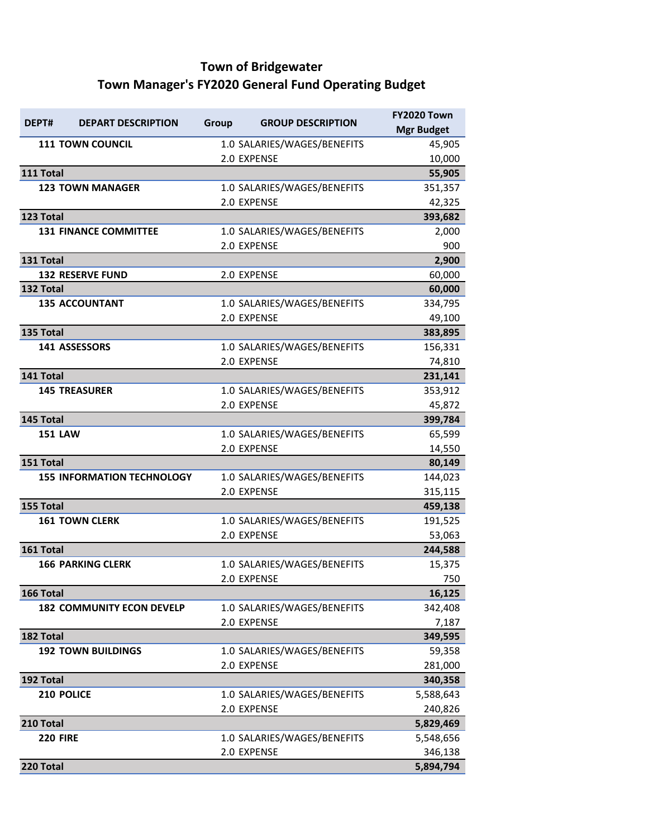# **Town of Bridgewater Town Manager's FY2020 General Fund Operating Budget**

| DEPT#           | <b>DEPART DESCRIPTION</b>         | Group | <b>GROUP DESCRIPTION</b>                   | <b>FY2020 Town</b> |
|-----------------|-----------------------------------|-------|--------------------------------------------|--------------------|
|                 |                                   |       |                                            | <b>Mgr Budget</b>  |
|                 | <b>111 TOWN COUNCIL</b>           |       | 1.0 SALARIES/WAGES/BENEFITS                | 45,905             |
|                 |                                   |       | 2.0 EXPENSE                                | 10,000             |
| 111 Total       |                                   |       |                                            | 55,905             |
|                 | <b>123 TOWN MANAGER</b>           |       | 1.0 SALARIES/WAGES/BENEFITS                | 351,357            |
|                 |                                   |       | 2.0 EXPENSE                                | 42,325             |
| 123 Total       |                                   |       |                                            | 393,682            |
|                 | <b>131 FINANCE COMMITTEE</b>      |       | 1.0 SALARIES/WAGES/BENEFITS                | 2,000              |
|                 |                                   |       | 2.0 EXPENSE                                | 900                |
| 131 Total       |                                   |       |                                            | 2,900              |
|                 | <b>132 RESERVE FUND</b>           |       | 2.0 EXPENSE                                | 60,000             |
| 132 Total       |                                   |       |                                            | 60,000             |
|                 | <b>135 ACCOUNTANT</b>             |       | 1.0 SALARIES/WAGES/BENEFITS<br>2.0 EXPENSE | 334,795            |
|                 |                                   |       |                                            | 49,100             |
| 135 Total       | <b>141 ASSESSORS</b>              |       | 1.0 SALARIES/WAGES/BENEFITS                | 383,895<br>156,331 |
|                 |                                   |       | 2.0 EXPENSE                                | 74,810             |
| 141 Total       |                                   |       |                                            | 231,141            |
|                 | <b>145 TREASURER</b>              |       | 1.0 SALARIES/WAGES/BENEFITS                | 353,912            |
|                 |                                   |       | 2.0 EXPENSE                                | 45,872             |
| 145 Total       |                                   |       |                                            | 399,784            |
| <b>151 LAW</b>  |                                   |       | 1.0 SALARIES/WAGES/BENEFITS                | 65,599             |
|                 |                                   |       | 2.0 EXPENSE                                | 14,550             |
| 151 Total       |                                   |       |                                            | 80,149             |
|                 | <b>155 INFORMATION TECHNOLOGY</b> |       | 1.0 SALARIES/WAGES/BENEFITS                | 144,023            |
|                 |                                   |       | 2.0 EXPENSE                                | 315,115            |
| 155 Total       |                                   |       |                                            | 459,138            |
|                 | <b>161 TOWN CLERK</b>             |       | 1.0 SALARIES/WAGES/BENEFITS                | 191,525            |
|                 |                                   |       | 2.0 EXPENSE                                | 53,063             |
| 161 Total       |                                   |       |                                            | 244,588            |
|                 | <b>166 PARKING CLERK</b>          |       | 1.0 SALARIES/WAGES/BENEFITS                | 15,375             |
|                 |                                   |       | 2.0 EXPENSE                                | 750                |
| 166 Total       |                                   |       |                                            | 16,125             |
|                 | <b>182 COMMUNITY ECON DEVELP</b>  |       | 1.0 SALARIES/WAGES/BENEFITS                | 342,408            |
|                 |                                   |       | 2.0 EXPENSE                                | 7,187              |
| 182 Total       |                                   |       |                                            | 349,595            |
|                 | <b>192 TOWN BUILDINGS</b>         |       | 1.0 SALARIES/WAGES/BENEFITS                | 59,358             |
|                 |                                   |       | 2.0 EXPENSE                                | 281,000            |
| 192 Total       |                                   |       |                                            | 340,358            |
|                 | 210 POLICE                        |       | 1.0 SALARIES/WAGES/BENEFITS                | 5,588,643          |
|                 |                                   |       | 2.0 EXPENSE                                | 240,826            |
| 210 Total       |                                   |       |                                            | 5,829,469          |
| <b>220 FIRE</b> |                                   |       | 1.0 SALARIES/WAGES/BENEFITS                | 5,548,656          |
|                 |                                   |       | 2.0 EXPENSE                                | 346,138            |
| 220 Total       |                                   |       |                                            | 5,894,794          |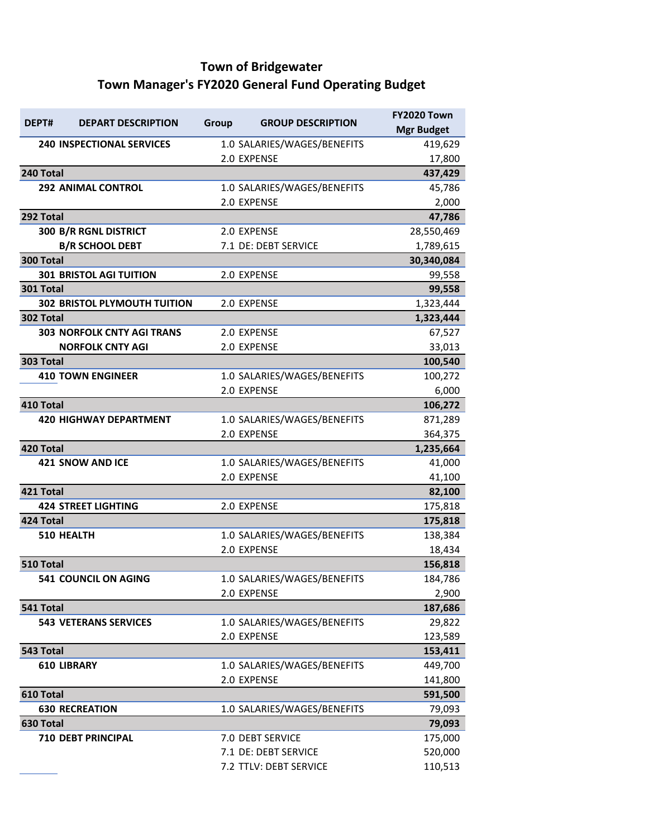# **Town of Bridgewater Town Manager's FY2020 General Fund Operating Budget**

|           |                                     |       |                             | <b>FY2020 Town</b> |
|-----------|-------------------------------------|-------|-----------------------------|--------------------|
| DEPT#     | <b>DEPART DESCRIPTION</b>           | Group | <b>GROUP DESCRIPTION</b>    | <b>Mgr Budget</b>  |
|           | <b>240 INSPECTIONAL SERVICES</b>    |       | 1.0 SALARIES/WAGES/BENEFITS | 419,629            |
|           |                                     |       | 2.0 EXPENSE                 | 17,800             |
| 240 Total |                                     |       |                             | 437,429            |
|           | <b>292 ANIMAL CONTROL</b>           |       | 1.0 SALARIES/WAGES/BENEFITS | 45,786             |
|           |                                     |       | 2.0 EXPENSE                 | 2,000              |
| 292 Total |                                     |       |                             | 47,786             |
|           | 300 B/R RGNL DISTRICT               |       | 2.0 EXPENSE                 | 28,550,469         |
|           | <b>B/R SCHOOL DEBT</b>              |       | 7.1 DE: DEBT SERVICE        | 1,789,615          |
| 300 Total |                                     |       |                             | 30,340,084         |
|           | <b>301 BRISTOL AGI TUITION</b>      |       | 2.0 EXPENSE                 | 99,558             |
| 301 Total |                                     |       |                             | 99,558             |
|           | <b>302 BRISTOL PLYMOUTH TUITION</b> |       | 2.0 EXPENSE                 | 1,323,444          |
| 302 Total |                                     |       |                             | 1,323,444          |
|           | <b>303 NORFOLK CNTY AGI TRANS</b>   |       | 2.0 EXPENSE                 | 67,527             |
|           | <b>NORFOLK CNTY AGI</b>             |       | 2.0 EXPENSE                 | 33,013             |
| 303 Total |                                     |       |                             | 100,540            |
|           | <b>410 TOWN ENGINEER</b>            |       | 1.0 SALARIES/WAGES/BENEFITS | 100,272            |
|           |                                     |       | 2.0 EXPENSE                 | 6,000              |
| 410 Total |                                     |       |                             | 106,272            |
|           | <b>420 HIGHWAY DEPARTMENT</b>       |       | 1.0 SALARIES/WAGES/BENEFITS | 871,289            |
|           |                                     |       | 2.0 EXPENSE                 | 364,375            |
| 420 Total |                                     |       |                             | 1,235,664          |
|           | <b>421 SNOW AND ICE</b>             |       | 1.0 SALARIES/WAGES/BENEFITS | 41,000             |
|           |                                     |       | 2.0 EXPENSE                 | 41,100             |
| 421 Total |                                     |       |                             | 82,100             |
|           | <b>424 STREET LIGHTING</b>          |       | 2.0 EXPENSE                 | 175,818            |
| 424 Total |                                     |       |                             | 175,818            |
|           | <b>510 HEALTH</b>                   |       | 1.0 SALARIES/WAGES/BENEFITS | 138,384            |
|           |                                     |       | 2.0 EXPENSE                 | 18,434             |
| 510 Total |                                     |       |                             | 156,818            |
|           | <b>541 COUNCIL ON AGING</b>         |       | 1.0 SALARIES/WAGES/BENEFITS | 184,786            |
|           |                                     |       | 2.0 EXPENSE                 | 2,900              |
| 541 Total |                                     |       |                             | 187,686            |
|           | <b>543 VETERANS SERVICES</b>        |       | 1.0 SALARIES/WAGES/BENEFITS | 29,822             |
|           |                                     |       | 2.0 EXPENSE                 | 123,589            |
| 543 Total |                                     |       |                             | 153,411            |
|           | <b>610 LIBRARY</b>                  |       | 1.0 SALARIES/WAGES/BENEFITS | 449,700            |
|           |                                     |       | 2.0 EXPENSE                 | 141,800            |
| 610 Total |                                     |       |                             | 591,500            |
|           | <b>630 RECREATION</b>               |       | 1.0 SALARIES/WAGES/BENEFITS | 79,093             |
| 630 Total |                                     |       |                             | 79,093             |
|           | <b>710 DEBT PRINCIPAL</b>           |       | 7.0 DEBT SERVICE            | 175,000            |
|           |                                     |       | 7.1 DE: DEBT SERVICE        | 520,000            |
|           |                                     |       |                             |                    |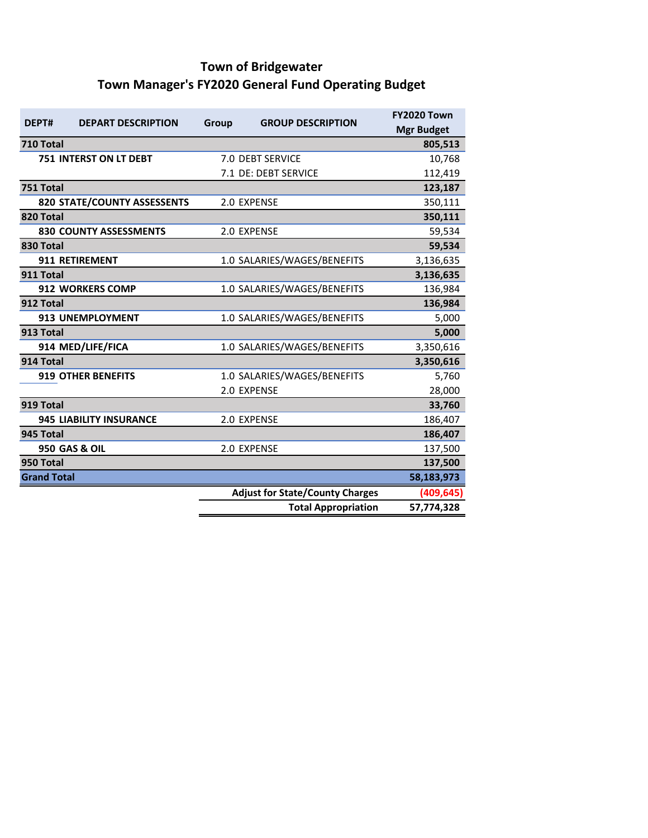# **Town of Bridgewater Town Manager's FY2020 General Fund Operating Budget**

| DEPT#              | <b>DEPART DESCRIPTION</b>      | Group | <b>GROUP DESCRIPTION</b>               | <b>FY2020 Town</b><br><b>Mgr Budget</b> |
|--------------------|--------------------------------|-------|----------------------------------------|-----------------------------------------|
| 710 Total          |                                |       |                                        | 805,513                                 |
|                    | 751 INTERST ON LT DEBT         |       | 7.0 DEBT SERVICE                       | 10,768                                  |
|                    |                                |       | 7.1 DE: DEBT SERVICE                   | 112,419                                 |
| 751 Total          |                                |       |                                        | 123,187                                 |
|                    | 820 STATE/COUNTY ASSESSENTS    |       | 2.0 EXPENSE                            | 350,111                                 |
| 820 Total          |                                |       |                                        | 350,111                                 |
|                    | <b>830 COUNTY ASSESSMENTS</b>  |       | 2.0 EXPENSE                            | 59,534                                  |
| 830 Total          |                                |       |                                        | 59,534                                  |
|                    | 911 RETIREMENT                 |       | 1.0 SALARIES/WAGES/BENEFITS            | 3,136,635                               |
| 911 Total          |                                |       |                                        | 3,136,635                               |
|                    | <b>912 WORKERS COMP</b>        |       | 1.0 SALARIES/WAGES/BENEFITS            | 136,984                                 |
| 912 Total          |                                |       |                                        | 136,984                                 |
|                    | 913 UNEMPLOYMENT               |       | 1.0 SALARIES/WAGES/BENEFITS            | 5,000                                   |
| 913 Total          |                                |       |                                        | 5,000                                   |
|                    | 914 MED/LIFE/FICA              |       | 1.0 SALARIES/WAGES/BENEFITS            | 3,350,616                               |
| 914 Total          |                                |       |                                        | 3,350,616                               |
|                    | <b>919 OTHER BENEFITS</b>      |       | 1.0 SALARIES/WAGES/BENEFITS            | 5,760                                   |
|                    |                                |       | 2.0 EXPENSE                            | 28,000                                  |
| 919 Total          |                                |       |                                        | 33,760                                  |
|                    | <b>945 LIABILITY INSURANCE</b> |       | 2.0 EXPENSE                            | 186,407                                 |
| 945 Total          |                                |       |                                        | 186,407                                 |
|                    | <b>950 GAS &amp; OIL</b>       |       | 2.0 EXPENSE                            | 137,500                                 |
| 950 Total          |                                |       |                                        | 137,500                                 |
| <b>Grand Total</b> |                                |       |                                        | 58,183,973                              |
|                    |                                |       | <b>Adjust for State/County Charges</b> | (409, 645)                              |
|                    |                                |       | <b>Total Appropriation</b>             | 57,774,328                              |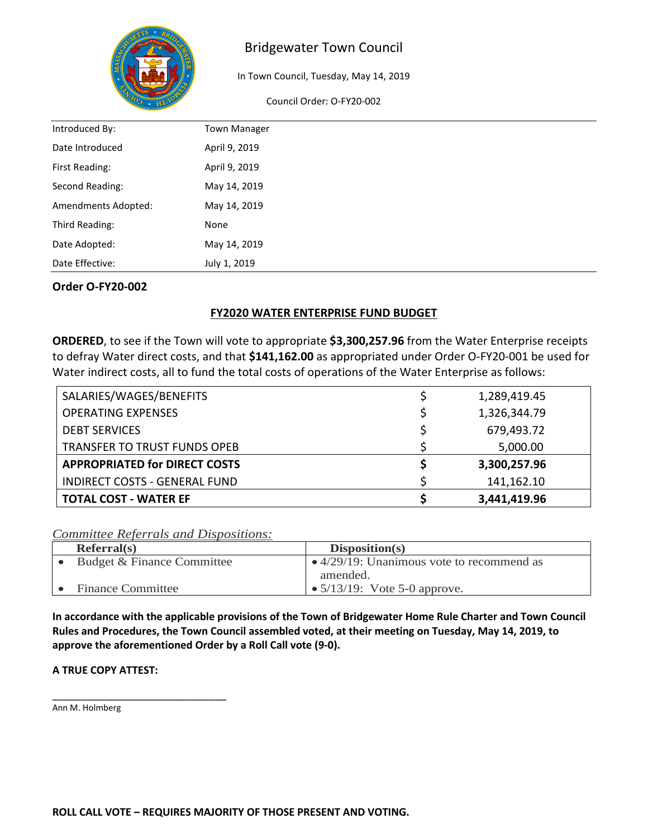

In Town Council, Tuesday, May 14, 2019

Council Order: O-FY20-002

| Introduced By:      | <b>Town Manager</b> |
|---------------------|---------------------|
| Date Introduced     | April 9, 2019       |
| First Reading:      | April 9, 2019       |
| Second Reading:     | May 14, 2019        |
| Amendments Adopted: | May 14, 2019        |
| Third Reading:      | None                |
| Date Adopted:       | May 14, 2019        |
| Date Effective:     | July 1, 2019        |

#### **Order O-FY20-002**

### **FY2020 WATER ENTERPRISE FUND BUDGET**

**ORDERED**, to see if the Town will vote to appropriate **\$3,300,257.96** from the Water Enterprise receipts to defray Water direct costs, and that **\$141,162.00** as appropriated under Order O-FY20-001 be used for Water indirect costs, all to fund the total costs of operations of the Water Enterprise as follows:

| SALARIES/WAGES/BENEFITS              | 1,289,419.45 |
|--------------------------------------|--------------|
| <b>OPERATING EXPENSES</b>            | 1,326,344.79 |
| <b>DEBT SERVICES</b>                 | 679,493.72   |
| <b>TRANSFER TO TRUST FUNDS OPEB</b>  | 5,000.00     |
| <b>APPROPRIATED for DIRECT COSTS</b> | 3,300,257.96 |
| <b>INDIRECT COSTS - GENERAL FUND</b> | 141,162.10   |
| <b>TOTAL COST - WATER EF</b>         | 3,441,419.96 |

#### *Committee Referrals and Dispositions:*

| Referral(s)                | Disposition(s)                                    |
|----------------------------|---------------------------------------------------|
| Budget & Finance Committee | $\bullet$ 4/29/19: Unanimous vote to recommend as |
|                            | amended.                                          |
| Finance Committee          | • $5/13/19$ : Vote 5-0 approve.                   |

**In accordance with the applicable provisions of the Town of Bridgewater Home Rule Charter and Town Council Rules and Procedures, the Town Council assembled voted, at their meeting on Tuesday, May 14, 2019, to approve the aforementioned Order by a Roll Call vote (9-0).** 

#### **A TRUE COPY ATTEST:**

\_\_\_\_\_\_\_\_\_\_\_\_\_\_\_\_\_\_\_\_\_\_\_\_\_\_\_\_\_\_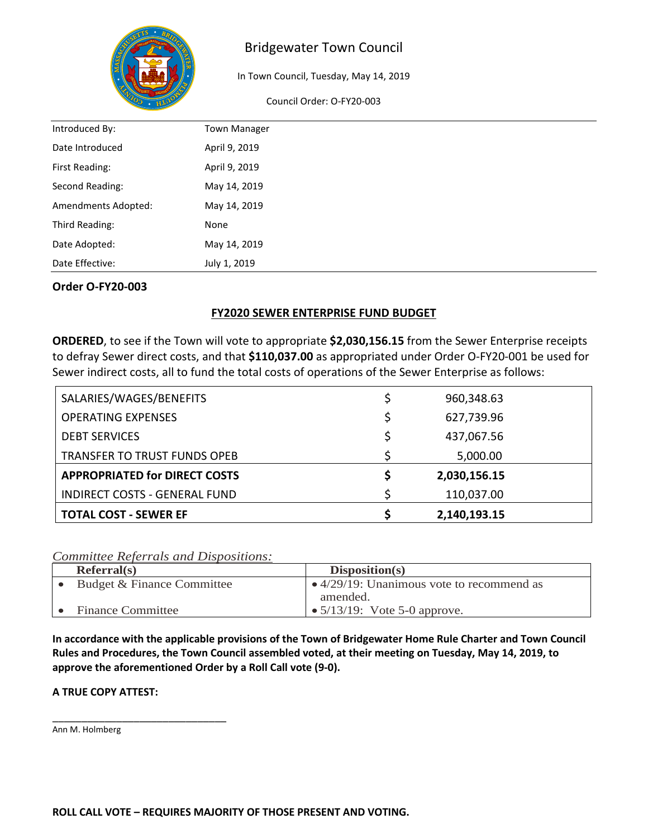

In Town Council, Tuesday, May 14, 2019

Council Order: O-FY20-003

| Introduced By:      | <b>Town Manager</b> |
|---------------------|---------------------|
| Date Introduced     | April 9, 2019       |
| First Reading:      | April 9, 2019       |
| Second Reading:     | May 14, 2019        |
| Amendments Adopted: | May 14, 2019        |
| Third Reading:      | None                |
| Date Adopted:       | May 14, 2019        |
| Date Effective:     | July 1, 2019        |

#### **Order O-FY20-003**

### **FY2020 SEWER ENTERPRISE FUND BUDGET**

**ORDERED**, to see if the Town will vote to appropriate **\$2,030,156.15** from the Sewer Enterprise receipts to defray Sewer direct costs, and that **\$110,037.00** as appropriated under Order O-FY20-001 be used for Sewer indirect costs, all to fund the total costs of operations of the Sewer Enterprise as follows:

| SALARIES/WAGES/BENEFITS              | \$ | 960,348.63   |
|--------------------------------------|----|--------------|
| <b>OPERATING EXPENSES</b>            | \$ | 627,739.96   |
| <b>DEBT SERVICES</b>                 | \$ | 437,067.56   |
| <b>TRANSFER TO TRUST FUNDS OPEB</b>  | ς  | 5,000.00     |
| <b>APPROPRIATED for DIRECT COSTS</b> | \$ | 2,030,156.15 |
| <b>INDIRECT COSTS - GENERAL FUND</b> | \$ | 110,037.00   |
| <b>TOTAL COST - SEWER EF</b>         |    | 2,140,193.15 |

*Committee Referrals and Dispositions:*

| Referral(s)                | Disposition(s)                                    |
|----------------------------|---------------------------------------------------|
| Budget & Finance Committee | $\bullet$ 4/29/19: Unanimous vote to recommend as |
|                            | amended.                                          |
| <b>Finance Committee</b>   | • $5/13/19$ : Vote 5-0 approve.                   |

**In accordance with the applicable provisions of the Town of Bridgewater Home Rule Charter and Town Council Rules and Procedures, the Town Council assembled voted, at their meeting on Tuesday, May 14, 2019, to approve the aforementioned Order by a Roll Call vote (9-0).** 

#### **A TRUE COPY ATTEST:**

\_\_\_\_\_\_\_\_\_\_\_\_\_\_\_\_\_\_\_\_\_\_\_\_\_\_\_\_\_\_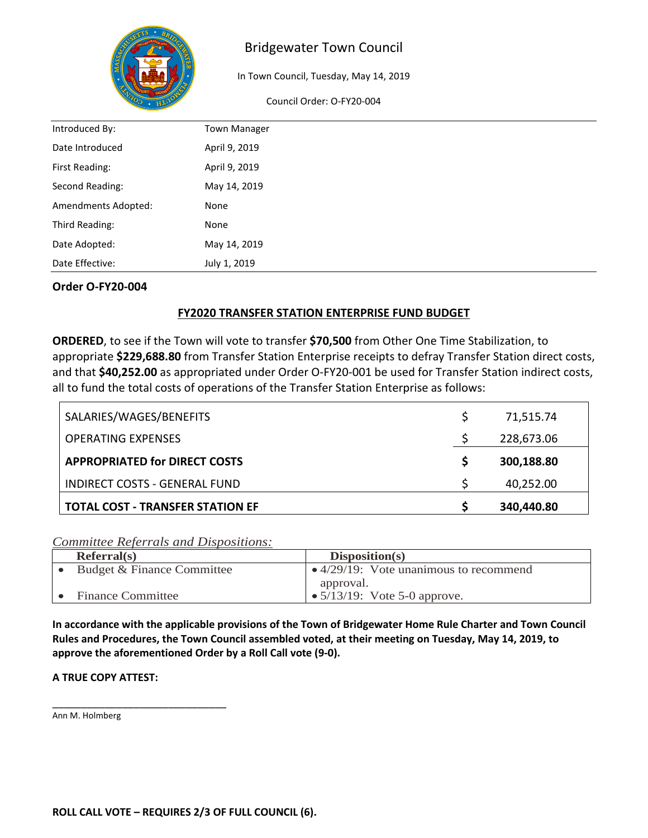

In Town Council, Tuesday, May 14, 2019

Council Order: O-FY20-004

| Introduced By:      | <b>Town Manager</b> |
|---------------------|---------------------|
| Date Introduced     | April 9, 2019       |
| First Reading:      | April 9, 2019       |
| Second Reading:     | May 14, 2019        |
| Amendments Adopted: | None                |
| Third Reading:      | None                |
| Date Adopted:       | May 14, 2019        |
| Date Effective:     | July 1, 2019        |

#### **Order O-FY20-004**

### **FY2020 TRANSFER STATION ENTERPRISE FUND BUDGET**

**ORDERED**, to see if the Town will vote to transfer **\$70,500** from Other One Time Stabilization, to appropriate **\$229,688.80** from Transfer Station Enterprise receipts to defray Transfer Station direct costs, and that **\$40,252.00** as appropriated under Order O-FY20-001 be used for Transfer Station indirect costs, all to fund the total costs of operations of the Transfer Station Enterprise as follows:

| SALARIES/WAGES/BENEFITS                 | 71,515.74  |
|-----------------------------------------|------------|
| <b>OPERATING EXPENSES</b>               | 228,673.06 |
| <b>APPROPRIATED for DIRECT COSTS</b>    | 300,188.80 |
| <b>INDIRECT COSTS - GENERAL FUND</b>    | 40,252.00  |
| <b>TOTAL COST - TRANSFER STATION EF</b> | 340,440.80 |

### *Committee Referrals and Dispositions:*

| Referral(s)                | Disposition(s)                                 |
|----------------------------|------------------------------------------------|
| Budget & Finance Committee | $\bullet$ 4/29/19: Vote unanimous to recommend |
|                            | approval.                                      |
| <b>Finance Committee</b>   | • $5/13/19$ : Vote 5-0 approve.                |

**In accordance with the applicable provisions of the Town of Bridgewater Home Rule Charter and Town Council Rules and Procedures, the Town Council assembled voted, at their meeting on Tuesday, May 14, 2019, to approve the aforementioned Order by a Roll Call vote (9-0).** 

#### **A TRUE COPY ATTEST:**

\_\_\_\_\_\_\_\_\_\_\_\_\_\_\_\_\_\_\_\_\_\_\_\_\_\_\_\_\_\_